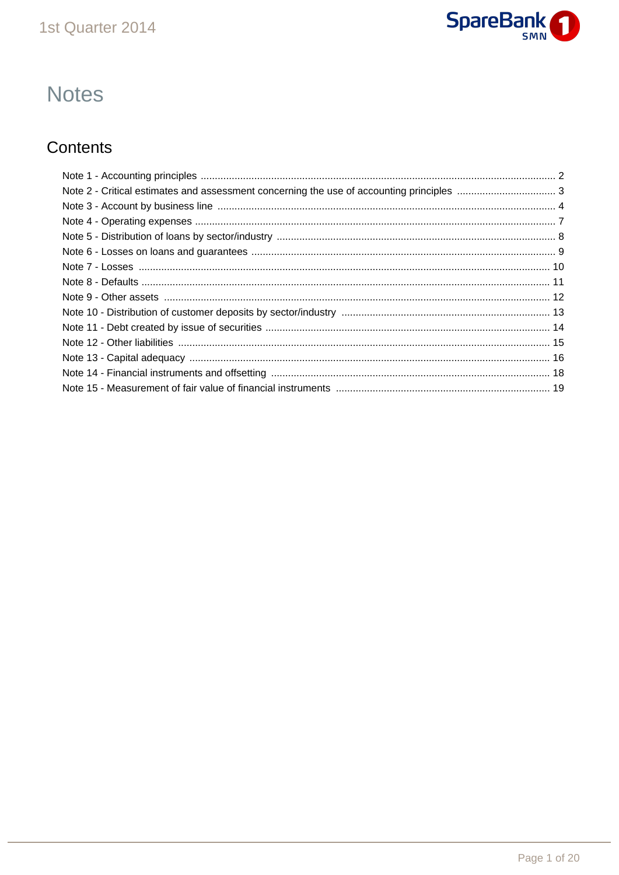

# **Notes**

## Contents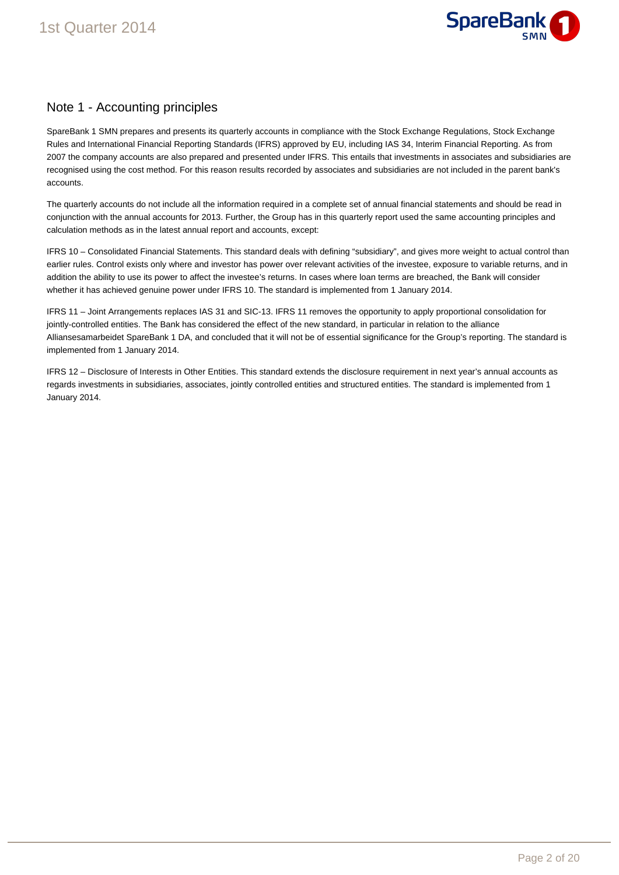

## Note 1 - Accounting principles

SpareBank 1 SMN prepares and presents its quarterly accounts in compliance with the Stock Exchange Regulations, Stock Exchange Rules and International Financial Reporting Standards (IFRS) approved by EU, including IAS 34, Interim Financial Reporting. As from 2007 the company accounts are also prepared and presented under IFRS. This entails that investments in associates and subsidiaries are recognised using the cost method. For this reason results recorded by associates and subsidiaries are not included in the parent bank's accounts.

The quarterly accounts do not include all the information required in a complete set of annual financial statements and should be read in conjunction with the annual accounts for 2013. Further, the Group has in this quarterly report used the same accounting principles and calculation methods as in the latest annual report and accounts, except:

IFRS 10 – Consolidated Financial Statements. This standard deals with defining "subsidiary", and gives more weight to actual control than earlier rules. Control exists only where and investor has power over relevant activities of the investee, exposure to variable returns, and in addition the ability to use its power to affect the investee's returns. In cases where loan terms are breached, the Bank will consider whether it has achieved genuine power under IFRS 10. The standard is implemented from 1 January 2014.

IFRS 11 – Joint Arrangements replaces IAS 31 and SIC-13. IFRS 11 removes the opportunity to apply proportional consolidation for jointly-controlled entities. The Bank has considered the effect of the new standard, in particular in relation to the alliance Alliansesamarbeidet SpareBank 1 DA, and concluded that it will not be of essential significance for the Group's reporting. The standard is implemented from 1 January 2014.

IFRS 12 – Disclosure of Interests in Other Entities. This standard extends the disclosure requirement in next year's annual accounts as regards investments in subsidiaries, associates, jointly controlled entities and structured entities. The standard is implemented from 1 January 2014.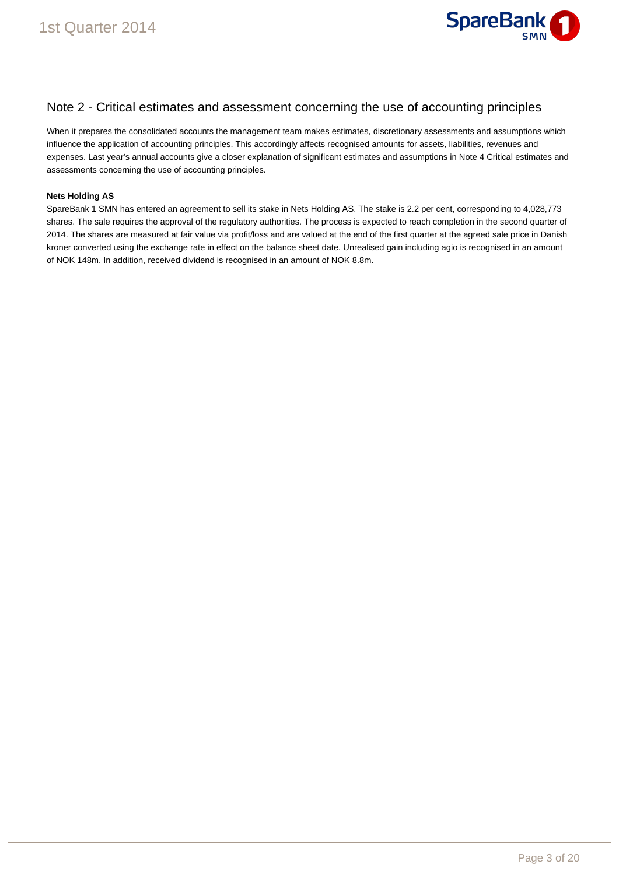

### Note 2 - Critical estimates and assessment concerning the use of accounting principles

When it prepares the consolidated accounts the management team makes estimates, discretionary assessments and assumptions which influence the application of accounting principles. This accordingly affects recognised amounts for assets, liabilities, revenues and expenses. Last year's annual accounts give a closer explanation of significant estimates and assumptions in Note 4 Critical estimates and assessments concerning the use of accounting principles.

#### **Nets Holding AS**

SpareBank 1 SMN has entered an agreement to sell its stake in Nets Holding AS. The stake is 2.2 per cent, corresponding to 4,028,773 shares. The sale requires the approval of the regulatory authorities. The process is expected to reach completion in the second quarter of 2014. The shares are measured at fair value via profit/loss and are valued at the end of the first quarter at the agreed sale price in Danish kroner converted using the exchange rate in effect on the balance sheet date. Unrealised gain including agio is recognised in an amount of NOK 148m. In addition, received dividend is recognised in an amount of NOK 8.8m.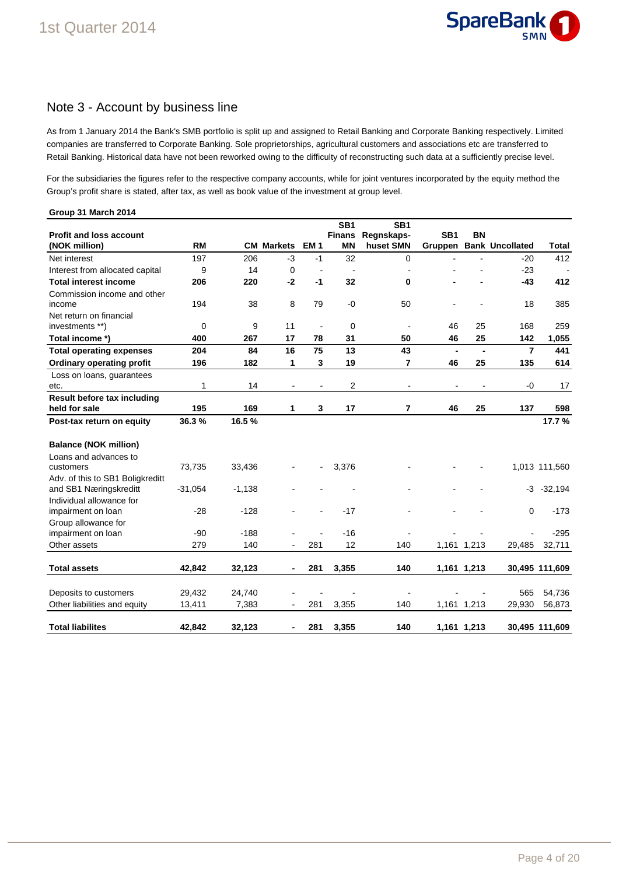

### Note 3 - Account by business line

As from 1 January 2014 the Bank's SMB portfolio is split up and assigned to Retail Banking and Corporate Banking respectively. Limited companies are transferred to Corporate Banking. Sole proprietorships, agricultural customers and associations etc are transferred to Retail Banking. Historical data have not been reworked owing to the difficulty of reconstructing such data at a sufficiently precise level.

For the subsidiaries the figures refer to the respective company accounts, while for joint ventures incorporated by the equity method the Group's profit share is stated, after tax, as well as book value of the investment at group level.

| Group 31 March 2014                |           |           |                |                |                                  |                               |                 |                |                        |                |
|------------------------------------|-----------|-----------|----------------|----------------|----------------------------------|-------------------------------|-----------------|----------------|------------------------|----------------|
| <b>Profit and loss account</b>     |           |           |                |                | SB <sub>1</sub><br><b>Finans</b> | SB <sub>1</sub><br>Regnskaps- | SB <sub>1</sub> | BN             |                        |                |
| (NOK million)                      | <b>RM</b> | <b>CM</b> | <b>Markets</b> | <b>EM1</b>     | <b>MN</b>                        | huset SMN                     | Gruppen         |                | <b>Bank Uncollated</b> | <b>Total</b>   |
| Net interest                       | 197       | 206       | $-3$           | $-1$           | 32                               | $\mathbf 0$                   |                 |                | $-20$                  | 412            |
| Interest from allocated capital    | 9         | 14        | $\mathbf 0$    | $\blacksquare$ | $\overline{\phantom{a}}$         | ÷                             |                 |                | $-23$                  |                |
| <b>Total interest income</b>       | 206       | 220       | $-2$           | $-1$           | 32                               | 0                             |                 |                | $-43$                  | 412            |
| Commission income and other        |           |           |                |                |                                  |                               |                 |                |                        |                |
| income                             | 194       | 38        | 8              | 79             | $-0$                             | 50                            |                 |                | 18                     | 385            |
| Net return on financial            |           |           |                |                |                                  |                               |                 |                |                        |                |
| investments **)                    | 0         | 9         | 11             | $\blacksquare$ | $\mathbf 0$                      | $\blacksquare$                | 46              | 25             | 168                    | 259            |
| Total income *)                    | 400       | 267       | 17             | 78             | 31                               | 50                            | 46              | 25             | 142                    | 1,055          |
| <b>Total operating expenses</b>    | 204       | 84        | 16             | 75             | 13                               | 43                            | $\blacksquare$  | $\blacksquare$ | $\overline{7}$         | 441            |
| <b>Ordinary operating profit</b>   | 196       | 182       | 1              | 3              | 19                               | 7                             | 46              | 25             | 135                    | 614            |
| Loss on loans, guarantees          |           |           |                |                |                                  |                               |                 |                |                        |                |
| etc.                               | 1         | 14        | $\blacksquare$ |                | $\overline{2}$                   | $\overline{\phantom{a}}$      | $\overline{a}$  | $\blacksquare$ | -0                     | 17             |
| Result before tax including        |           |           |                |                |                                  |                               |                 |                |                        |                |
| held for sale                      | 195       | 169       | 1              | 3              | 17                               | 7                             | 46              | 25             | 137                    | 598            |
| Post-tax return on equity          | 36.3%     | 16.5%     |                |                |                                  |                               |                 |                |                        | 17.7%          |
| <b>Balance (NOK million)</b>       |           |           |                |                |                                  |                               |                 |                |                        |                |
| Loans and advances to              |           |           |                |                |                                  |                               |                 |                |                        |                |
| customers                          | 73,735    | 33,436    |                |                | 3,376                            |                               |                 |                |                        | 1,013 111,560  |
| Adv. of this to SB1 Boligkreditt   |           |           |                |                |                                  |                               |                 |                |                        |                |
| and SB1 Næringskreditt             | $-31,054$ | $-1,138$  |                |                |                                  |                               |                 |                | -3                     | $-32,194$      |
| Individual allowance for           |           |           |                |                |                                  |                               |                 |                |                        |                |
| impairment on loan                 | $-28$     | $-128$    |                |                | $-17$                            |                               |                 |                | 0                      | $-173$         |
| Group allowance for                | $-90$     | $-188$    |                |                | $-16$                            |                               |                 |                |                        | $-295$         |
| impairment on loan<br>Other assets | 279       | 140       |                | 281            | 12                               | 140                           |                 | 1,161 1,213    | 29,485                 | 32,711         |
|                                    |           |           |                |                |                                  |                               |                 |                |                        |                |
| <b>Total assets</b>                | 42,842    | 32,123    | $\blacksquare$ | 281            | 3,355                            | 140                           |                 | 1,161 1,213    |                        | 30,495 111,609 |
|                                    |           |           |                |                |                                  |                               |                 |                |                        |                |
| Deposits to customers              | 29,432    | 24,740    |                |                |                                  |                               |                 |                | 565                    | 54,736         |
| Other liabilities and equity       | 13,411    | 7,383     | $\blacksquare$ | 281            | 3,355                            | 140                           |                 | 1,161 1,213    | 29,930                 | 56,873         |
| <b>Total liabilites</b>            | 42,842    | 32,123    | $\blacksquare$ | 281            | 3,355                            | 140                           |                 | 1,161 1,213    |                        | 30,495 111,609 |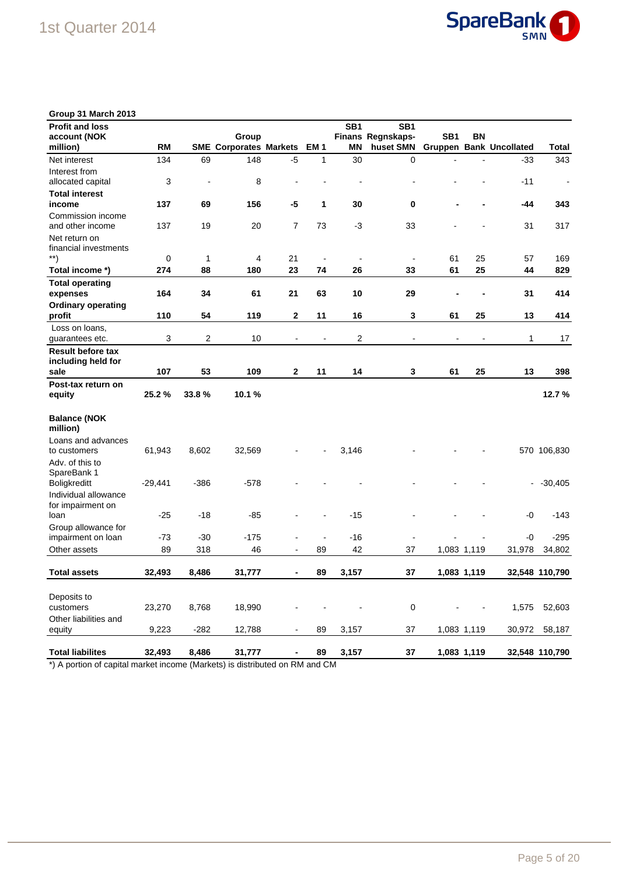

| Group 31 March 2013                |           |                |                               |                          |                          |                 |                              |                          |             |                                |                |
|------------------------------------|-----------|----------------|-------------------------------|--------------------------|--------------------------|-----------------|------------------------------|--------------------------|-------------|--------------------------------|----------------|
| <b>Profit and loss</b>             |           |                |                               |                          |                          | SB <sub>1</sub> | SB <sub>1</sub>              |                          |             |                                |                |
| account (NOK                       |           |                | Group                         |                          |                          |                 | Finans Regnskaps-            | SB <sub>1</sub>          | BN          |                                |                |
| million)                           | <b>RM</b> |                | <b>SME Corporates Markets</b> |                          | EM <sub>1</sub>          | <b>MN</b>       | huset SMN                    |                          |             | <b>Gruppen Bank Uncollated</b> | <b>Total</b>   |
| Net interest                       | 134       | 69             | 148                           | $-5$                     | 1                        | 30              | 0                            | $\blacksquare$           |             | $-33$                          | 343            |
| Interest from                      |           |                |                               |                          |                          |                 |                              |                          |             |                                |                |
| allocated capital                  | 3         | $\overline{a}$ | 8                             |                          |                          |                 |                              |                          |             | $-11$                          | $\blacksquare$ |
| <b>Total interest</b>              |           |                |                               |                          |                          |                 |                              |                          |             |                                |                |
| income                             | 137       | 69             | 156                           | -5                       | 1                        | 30              | 0                            |                          |             | -44                            | 343            |
| Commission income                  |           |                |                               |                          |                          |                 |                              |                          |             |                                |                |
| and other income                   | 137       | 19             | 20                            | $\overline{7}$           | 73                       | $-3$            | 33                           |                          |             | 31                             | 317            |
| Net return on                      |           |                |                               |                          |                          |                 |                              |                          |             |                                |                |
| financial investments              |           |                |                               |                          |                          |                 |                              |                          |             |                                |                |
| $\left( \mathbf{a}^{\ast }\right)$ | 0         | 1              | 4                             | 21                       | $\overline{\phantom{a}}$ | $\blacksquare$  | $\overline{a}$               | 61                       | 25          | 57                             | 169            |
| Total income *)                    | 274       | 88             | 180                           | 23                       | 74                       | 26              | 33                           | 61                       | 25          | 44                             | 829            |
| <b>Total operating</b>             |           |                |                               |                          |                          |                 |                              |                          |             |                                |                |
| expenses                           | 164       | 34             | 61                            | 21                       | 63                       | 10              | 29                           |                          |             | 31                             | 414            |
| <b>Ordinary operating</b>          |           |                |                               |                          |                          |                 |                              |                          |             |                                |                |
| profit                             | 110       | 54             | 119                           | $\mathbf 2$              | 11                       | 16              | 3                            | 61                       | 25          | 13                             | 414            |
| Loss on loans,                     |           |                |                               |                          |                          |                 |                              |                          |             |                                |                |
| guarantees etc.                    | 3         | 2              | 10                            | $\overline{\phantom{a}}$ | $\overline{\phantom{a}}$ | 2               | $\qquad \qquad \blacksquare$ | $\overline{\phantom{a}}$ |             | 1                              | 17             |
| <b>Result before tax</b>           |           |                |                               |                          |                          |                 |                              |                          |             |                                |                |
| including held for                 |           |                |                               |                          |                          |                 |                              |                          |             |                                |                |
| sale                               | 107       | 53             | 109                           | $\mathbf{2}$             | 11                       | 14              | 3                            | 61                       | 25          | 13                             | 398            |
| Post-tax return on                 |           |                |                               |                          |                          |                 |                              |                          |             |                                |                |
| equity                             | 25.2%     | 33.8%          | 10.1%                         |                          |                          |                 |                              |                          |             |                                | 12.7%          |
| <b>Balance (NOK</b><br>million)    |           |                |                               |                          |                          |                 |                              |                          |             |                                |                |
| Loans and advances                 |           |                |                               |                          |                          |                 |                              |                          |             |                                |                |
| to customers                       | 61,943    | 8,602          | 32,569                        |                          |                          | 3,146           |                              |                          |             |                                | 570 106,830    |
| Adv. of this to                    |           |                |                               |                          |                          |                 |                              |                          |             |                                |                |
| SpareBank 1                        |           |                |                               |                          |                          |                 |                              |                          |             |                                |                |
| Boligkreditt                       | $-29,441$ | -386           | -578                          |                          |                          |                 |                              |                          |             | ۰                              | $-30,405$      |
| Individual allowance               |           |                |                               |                          |                          |                 |                              |                          |             |                                |                |
| for impairment on                  |           |                |                               |                          |                          |                 |                              |                          |             |                                |                |
| loan                               | $-25$     | -18            | -85                           |                          |                          | $-15$           |                              |                          |             | -0                             | $-143$         |
| Group allowance for                |           |                |                               |                          |                          |                 |                              |                          |             |                                |                |
| impairment on loan                 | -73       | -30            | -175                          |                          | $\overline{a}$           | $-16$           |                              |                          |             | -0                             | $-295$         |
| Other assets                       | 89        | 318            | 46                            |                          | 89                       | 42              | 37                           |                          | 1,083 1,119 | 31,978                         | 34,802         |
|                                    |           |                |                               |                          |                          |                 |                              |                          |             |                                |                |
| <b>Total assets</b>                | 32,493    | 8,486          | 31,777                        |                          | 89                       | 3,157           | 37                           |                          | 1,083 1,119 |                                | 32,548 110,790 |
|                                    |           |                |                               |                          |                          |                 |                              |                          |             |                                |                |
| Deposits to                        |           |                |                               |                          |                          |                 |                              |                          |             |                                |                |
| customers                          | 23,270    | 8,768          | 18,990                        |                          |                          |                 | 0                            |                          |             |                                | 1,575 52,603   |
| Other liabilities and              |           |                |                               |                          |                          |                 |                              |                          |             |                                |                |
| equity                             | 9,223     | $-282$         | 12,788                        |                          | 89                       | 3,157           | 37                           |                          | 1,083 1,119 | 30,972                         | 58,187         |
| <b>Total liabilites</b>            | 32,493    | 8,486          | 31,777                        |                          | 89                       | 3,157           | 37                           |                          | 1,083 1,119 |                                | 32,548 110,790 |
|                                    |           |                |                               |                          |                          |                 |                              |                          |             |                                |                |

\*) A portion of capital market income (Markets) is distributed on RM and CM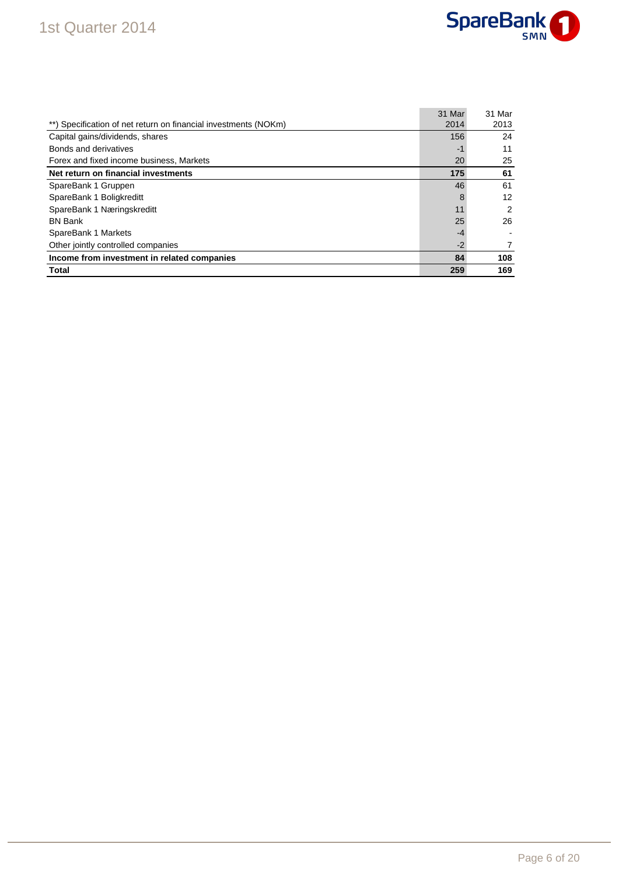## 1st Quarter 2014



|                                                                 | 31 Mar | 31 Mar |
|-----------------------------------------------------------------|--------|--------|
| **) Specification of net return on financial investments (NOKm) | 2014   | 2013   |
| Capital gains/dividends, shares                                 | 156    | 24     |
| Bonds and derivatives                                           | $-1$   | 11     |
| Forex and fixed income business, Markets                        | 20     | 25     |
| Net return on financial investments                             | 175    | 61     |
| SpareBank 1 Gruppen                                             | 46     | 61     |
| SpareBank 1 Boligkreditt                                        | 8      | 12     |
| SpareBank 1 Næringskreditt                                      | 11     | 2      |
| <b>BN Bank</b>                                                  | 25     | 26     |
| SpareBank 1 Markets                                             | $-4$   |        |
| Other jointly controlled companies                              | $-2$   |        |
| Income from investment in related companies                     | 84     | 108    |
| Total                                                           | 259    | 169    |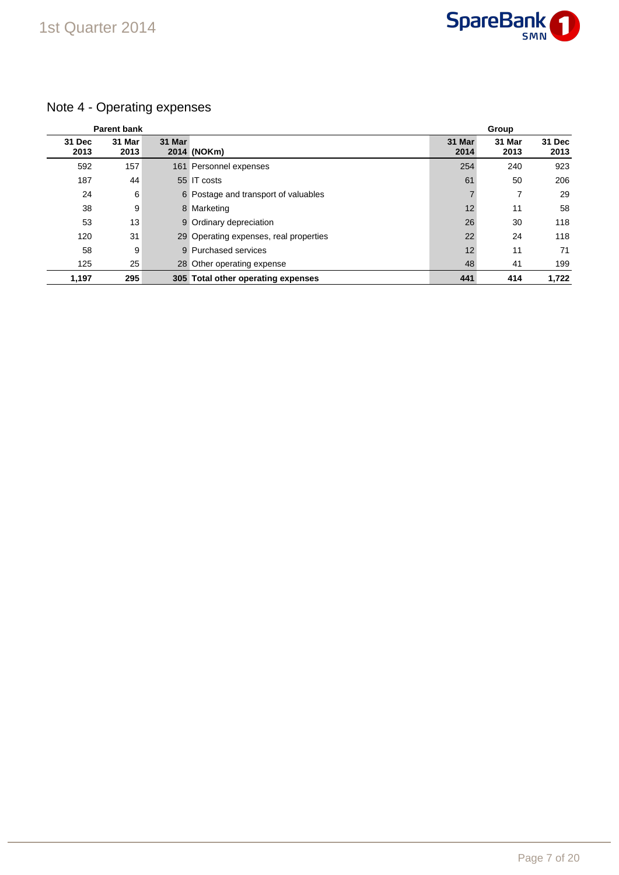

## Note 4 - Operating expenses

|                | <b>Parent bank</b> |        | Group                                  |                |                |                |
|----------------|--------------------|--------|----------------------------------------|----------------|----------------|----------------|
| 31 Dec<br>2013 | 31 Mar<br>2013     | 31 Mar | 2014 (NOKm)                            | 31 Mar<br>2014 | 31 Mar<br>2013 | 31 Dec<br>2013 |
| 592            | 157                |        | 161 Personnel expenses                 | 254            | 240            | 923            |
| 187            | 44                 |        | 55 IT costs                            | 61             | 50             | 206            |
| 24             | 6                  |        | 6 Postage and transport of valuables   | 7              |                | 29             |
| 38             | 9                  |        | 8 Marketing                            | 12             | 11             | 58             |
| 53             | 13                 |        | 9 Ordinary depreciation                | 26             | 30             | 118            |
| 120            | 31                 |        | 29 Operating expenses, real properties | 22             | 24             | 118            |
| 58             | 9                  |        | 9 Purchased services                   | 12             | 11             | 71             |
| 125            | 25                 |        | 28 Other operating expense             | 48             | 41             | 199            |
| 1,197          | 295                |        | 305 Total other operating expenses     | 441            | 414            | 1.722          |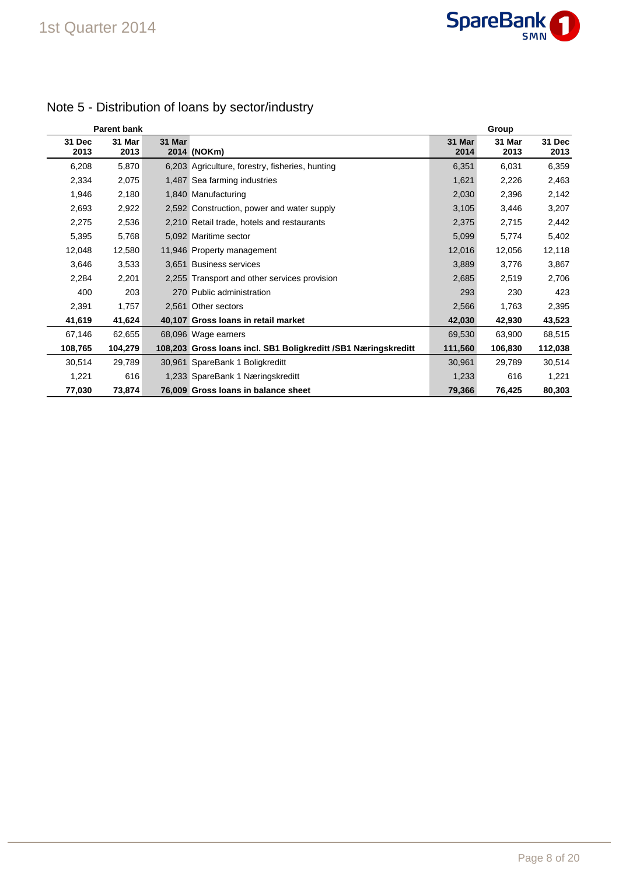

|                | <b>Parent bank</b> |        |                                                                 |                | Group          |                |
|----------------|--------------------|--------|-----------------------------------------------------------------|----------------|----------------|----------------|
| 31 Dec<br>2013 | 31 Mar<br>2013     | 31 Mar | 2014 (NOKm)                                                     | 31 Mar<br>2014 | 31 Mar<br>2013 | 31 Dec<br>2013 |
| 6,208          | 5,870              |        | 6,203 Agriculture, forestry, fisheries, hunting                 | 6,351          | 6,031          | 6,359          |
| 2,334          | 2,075              |        | 1,487 Sea farming industries                                    | 1,621          | 2,226          | 2,463          |
| 1,946          | 2,180              |        | 1,840 Manufacturing                                             | 2,030          | 2,396          | 2,142          |
| 2,693          | 2,922              |        | 2,592 Construction, power and water supply                      | 3,105          | 3,446          | 3,207          |
| 2,275          | 2,536              |        | 2,210 Retail trade, hotels and restaurants                      | 2,375          | 2,715          | 2,442          |
| 5,395          | 5,768              |        | 5,092 Maritime sector                                           | 5,099          | 5,774          | 5,402          |
| 12,048         | 12,580             |        | 11,946 Property management                                      | 12,016         | 12,056         | 12,118         |
| 3,646          | 3,533              |        | 3.651 Business services                                         | 3,889          | 3,776          | 3,867          |
| 2,284          | 2,201              |        | 2,255 Transport and other services provision                    | 2,685          | 2,519          | 2,706          |
| 400            | 203                |        | 270 Public administration                                       | 293            | 230            | 423            |
| 2,391          | 1,757              |        | 2,561 Other sectors                                             | 2,566          | 1,763          | 2,395          |
| 41,619         | 41,624             |        | 40,107 Gross Ioans in retail market                             | 42,030         | 42,930         | 43,523         |
| 67,146         | 62,655             |        | 68,096 Wage earners                                             | 69,530         | 63,900         | 68,515         |
| 108,765        | 104,279            |        | 108,203 Gross Ioans incl. SB1 Boligkreditt / SB1 Næringskreditt | 111,560        | 106,830        | 112,038        |
| 30,514         | 29,789             |        | 30,961 SpareBank 1 Boligkreditt                                 | 30,961         | 29,789         | 30,514         |
| 1,221          | 616                |        | 1,233 SpareBank 1 Næringskreditt                                | 1,233          | 616            | 1,221          |
| 77,030         | 73,874             |        | 76,009 Gross Ioans in balance sheet                             | 79,366         | 76,425         | 80,303         |

## Note 5 - Distribution of loans by sector/industry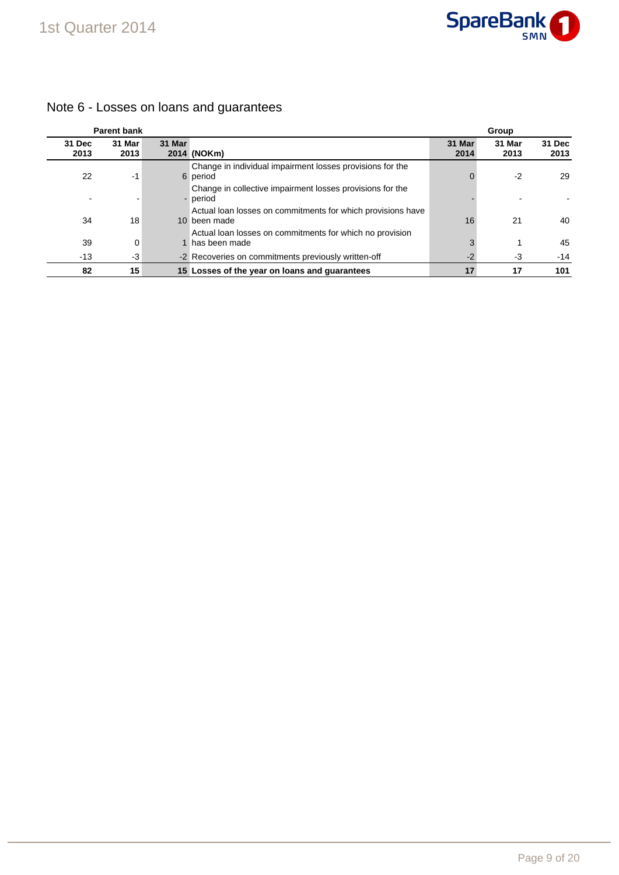

#### **Parent bank Group 31 Dec 2013 31 Mar 2013 31 Mar 2014 (NOKm) 31 Mar 2014 31 Mar 2013 31 Dec 2013** 22 -1 6 Change in individual impairment losses provisions for the period 0 -2 29 - - - Change in collective impairment losses provisions for the period in the second second second second second second second second second second second second second second 34 18 10 Actual loan losses on commitments for which provisions have 10 been made 16 21 21 40 39 0 1 Actual loan losses on commitments for which no provision 1 has been made 3 1 45 -13 -3 -2 Recoveries on commitments previously written-off -2 -3 -14 **82 15 15 Losses of the year on loans and guarantees 17 17 101**

### Note 6 - Losses on loans and guarantees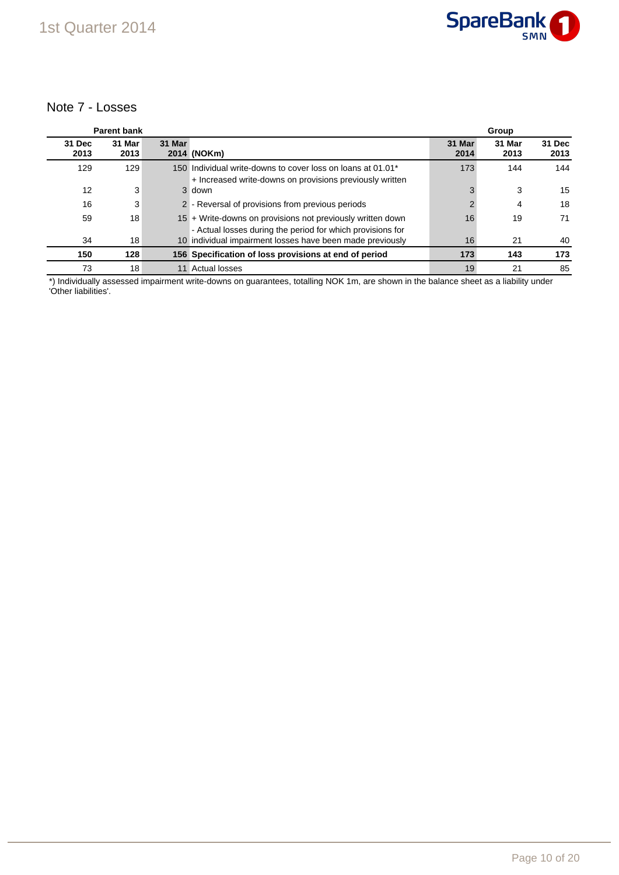### Note 7 - Losses

|                | <b>Parent bank</b> |        |                                                                                                                          | Group          |                |                |  |
|----------------|--------------------|--------|--------------------------------------------------------------------------------------------------------------------------|----------------|----------------|----------------|--|
| 31 Dec<br>2013 | 31 Mar<br>2013     | 31 Mar | 2014 (NOKm)                                                                                                              | 31 Mar<br>2014 | 31 Mar<br>2013 | 31 Dec<br>2013 |  |
| 129            | 129                |        | 150 Individual write-downs to cover loss on loans at 01.01*<br>+ Increased write-downs on provisions previously written  | 173            | 144            | 144            |  |
| 12             | 3                  |        | 3 down                                                                                                                   | 3              | 3              | 15             |  |
| 16             | 3                  |        | 2 - Reversal of provisions from previous periods                                                                         |                | 4              | 18             |  |
| 59             | 18                 |        | 15 + Write-downs on provisions not previously written down<br>- Actual losses during the period for which provisions for | 16             | 19             | 71             |  |
| 34             | 18                 |        | 10 individual impairment losses have been made previously                                                                | 16             | 21             | 40             |  |
| 150            | 128                |        | 156 Specification of loss provisions at end of period                                                                    | 173            | 143            | 173            |  |
| 73             | 18                 |        | 11 Actual losses                                                                                                         | 19             | 21             | 85             |  |

\*) Individually assessed impairment write-downs on guarantees, totalling NOK 1m, are shown in the balance sheet as a liability under 'Other liabilities'.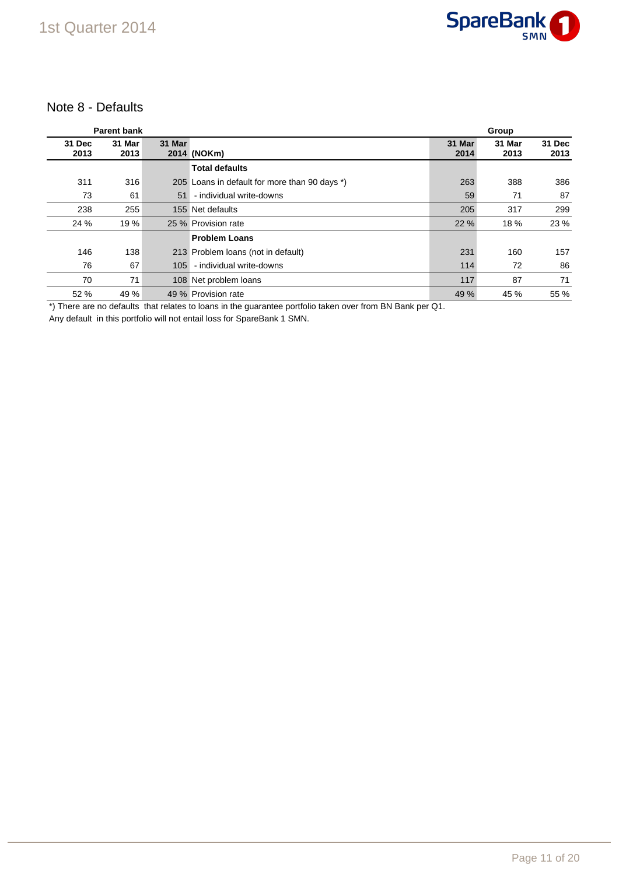

### Note 8 - Defaults

|                | <b>Parent bank</b> |        |                                               |                | Group          |                |
|----------------|--------------------|--------|-----------------------------------------------|----------------|----------------|----------------|
| 31 Dec<br>2013 | 31 Mar<br>2013     | 31 Mar | 2014 (NOKm)                                   | 31 Mar<br>2014 | 31 Mar<br>2013 | 31 Dec<br>2013 |
|                |                    |        | <b>Total defaults</b>                         |                |                |                |
| 311            | 316                |        | 205 Loans in default for more than 90 days *) | 263            | 388            | 386            |
| 73             | 61                 | 51     | - individual write-downs                      | 59             | 71             | 87             |
| 238            | 255                |        | 155 Net defaults                              | 205            | 317            | 299            |
| 24 %           | 19 %               |        | 25 % Provision rate                           | 22 %           | 18 %           | 23 %           |
|                |                    |        | <b>Problem Loans</b>                          |                |                |                |
| 146            | 138                |        | 213 Problem Ioans (not in default)            | 231            | 160            | 157            |
| 76             | 67                 | 105    | - individual write-downs                      | 114            | 72             | 86             |
| 70             | 71                 |        | 108 Net problem loans                         | 117            | 87             | 71             |
| 52 %           | 49 %               |        | 49 % Provision rate                           | 49 %           | 45 %           | 55 %           |

\*) There are no defaults that relates to loans in the guarantee portfolio taken over from BN Bank per Q1.

Any default in this portfolio will not entail loss for SpareBank 1 SMN.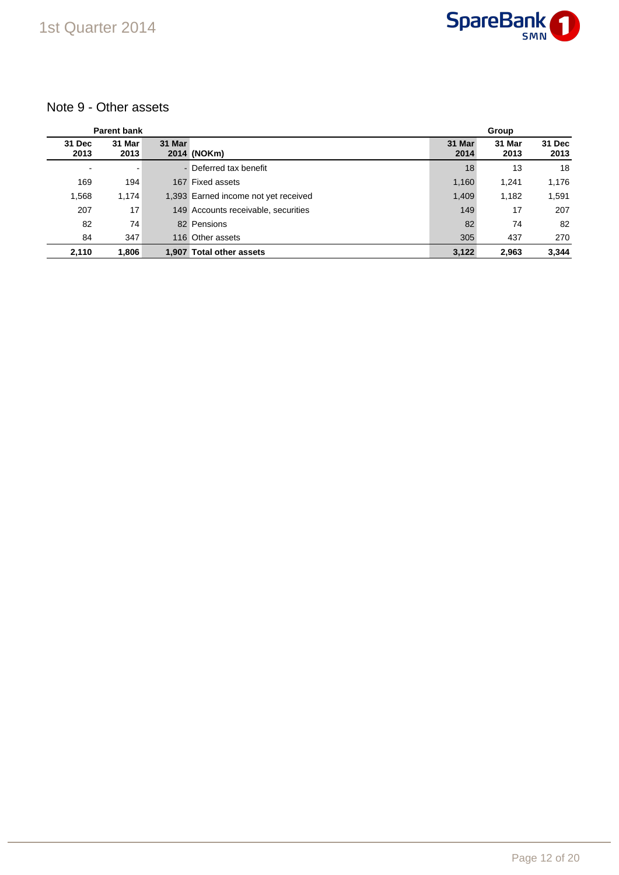

### Note 9 - Other assets

|                          | <b>Parent bank</b> |        |                                      | Group          |                |                |  |
|--------------------------|--------------------|--------|--------------------------------------|----------------|----------------|----------------|--|
| 31 Dec<br>2013           | 31 Mar<br>2013     | 31 Mar | 2014 (NOKm)                          | 31 Mar<br>2014 | 31 Mar<br>2013 | 31 Dec<br>2013 |  |
| $\overline{\phantom{a}}$ | -                  |        | - Deferred tax benefit               | 18             | 13             | 18             |  |
| 169                      | 194                |        | 167 Fixed assets                     | 1,160          | 1.241          | 1,176          |  |
| 1,568                    | 1,174              |        | 1,393 Earned income not yet received | 1,409          | 1,182          | 1,591          |  |
| 207                      | 17                 |        | 149 Accounts receivable, securities  | 149            | 17             | 207            |  |
| 82                       | 74                 |        | 82 Pensions                          | 82             | 74             | 82             |  |
| 84                       | 347                |        | 116 Other assets                     | 305            | 437            | 270            |  |
| 2,110                    | 1,806              | 1.907  | <b>Total other assets</b>            | 3,122          | 2.963          | 3,344          |  |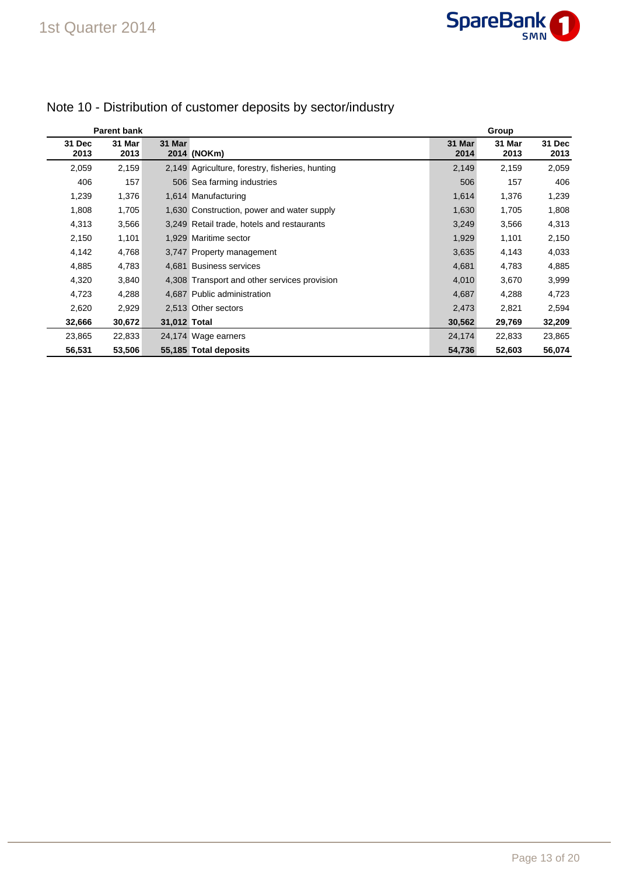|                | <b>Parent bank</b> |              |                                                 |                | Group          |                |  |  |
|----------------|--------------------|--------------|-------------------------------------------------|----------------|----------------|----------------|--|--|
| 31 Dec<br>2013 | 31 Mar<br>2013     | 31 Mar       | 2014 (NOKm)                                     | 31 Mar<br>2014 | 31 Mar<br>2013 | 31 Dec<br>2013 |  |  |
| 2,059          | 2,159              |              | 2,149 Agriculture, forestry, fisheries, hunting | 2,149          | 2,159          | 2,059          |  |  |
| 406            | 157                |              | 506 Sea farming industries                      | 506            | 157            | 406            |  |  |
| 1,239          | 1,376              |              | 1,614 Manufacturing                             | 1,614          | 1,376          | 1,239          |  |  |
| 1,808          | 1,705              |              | 1,630 Construction, power and water supply      | 1,630          | 1,705          | 1,808          |  |  |
| 4,313          | 3,566              |              | 3,249 Retail trade, hotels and restaurants      | 3,249          | 3,566          | 4,313          |  |  |
| 2,150          | 1,101              |              | 1,929 Maritime sector                           | 1,929          | 1,101          | 2,150          |  |  |
| 4,142          | 4,768              |              | 3,747 Property management                       | 3,635          | 4,143          | 4,033          |  |  |
| 4,885          | 4,783              |              | 4,681 Business services                         | 4,681          | 4,783          | 4,885          |  |  |
| 4,320          | 3,840              |              | 4,308 Transport and other services provision    | 4,010          | 3,670          | 3,999          |  |  |
| 4,723          | 4,288              |              | 4,687 Public administration                     | 4,687          | 4,288          | 4,723          |  |  |
| 2,620          | 2,929              |              | 2,513 Other sectors                             | 2,473          | 2,821          | 2,594          |  |  |
| 32,666         | 30,672             | 31,012 Total |                                                 | 30,562         | 29,769         | 32,209         |  |  |
| 23,865         | 22,833             |              | 24,174 Wage earners                             | 24,174         | 22,833         | 23,865         |  |  |
| 56,531         | 53,506             |              | 55,185 Total deposits                           | 54,736         | 52,603         | 56,074         |  |  |

## Note 10 - Distribution of customer deposits by sector/industry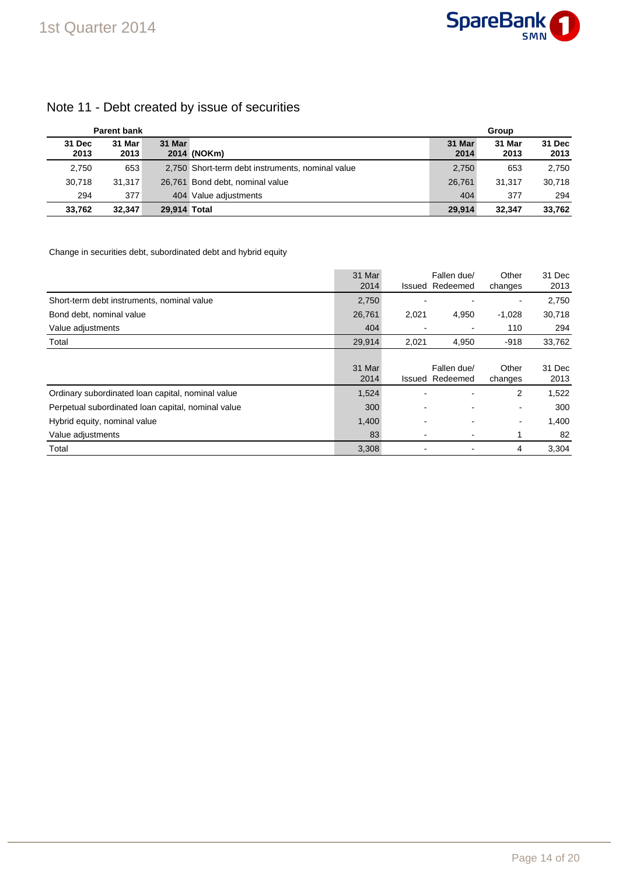## Note 11 - Debt created by issue of securities

| <b>Parent bank</b> |                |              |                                                  | Group          |                |                |  |
|--------------------|----------------|--------------|--------------------------------------------------|----------------|----------------|----------------|--|
| 31 Dec<br>2013     | 31 Mar<br>2013 | 31 Mar       | 2014 (NOKm)                                      | 31 Mar<br>2014 | 31 Mar<br>2013 | 31 Dec<br>2013 |  |
| 2,750              | 653            |              | 2,750 Short-term debt instruments, nominal value | 2,750          | 653            | 2,750          |  |
| 30.718             | 31.317         |              | 26,761 Bond debt, nominal value                  | 26.761         | 31.317         | 30.718         |  |
| 294                | 377            |              | 404 Value adiustments                            | 404            | 377            | 294            |  |
| 33,762             | 32.347         | 29.914 Total |                                                  | 29.914         | 32.347         | 33.762         |  |

#### Change in securities debt, subordinated debt and hybrid equity

|                                                    | 31 Mar<br>2014 |       | Fallen due/<br><b>Issued Redeemed</b> | Other<br>changes         | 31 Dec<br>2013 |
|----------------------------------------------------|----------------|-------|---------------------------------------|--------------------------|----------------|
| Short-term debt instruments, nominal value         | 2,750          |       |                                       | $\overline{\phantom{0}}$ | 2,750          |
| Bond debt, nominal value                           | 26,761         | 2,021 | 4,950                                 | $-1,028$                 | 30,718         |
| Value adjustments                                  | 404            |       |                                       | 110                      | 294            |
| Total                                              | 29,914         | 2,021 | 4,950                                 | $-918$                   | 33,762         |
|                                                    | 31 Mar<br>2014 |       | Fallen due/<br><b>Issued Redeemed</b> | Other<br>changes         | 31 Dec<br>2013 |
| Ordinary subordinated loan capital, nominal value  | 1,524          |       |                                       | 2                        | 1,522          |
| Perpetual subordinated loan capital, nominal value | 300            |       |                                       | $\overline{\phantom{0}}$ | 300            |
| Hybrid equity, nominal value                       | 1,400          |       |                                       | ۰                        | 1,400          |
| Value adjustments                                  | 83             |       |                                       | 1                        | 82             |
| Total                                              | 3,308          |       |                                       | 4                        | 3.304          |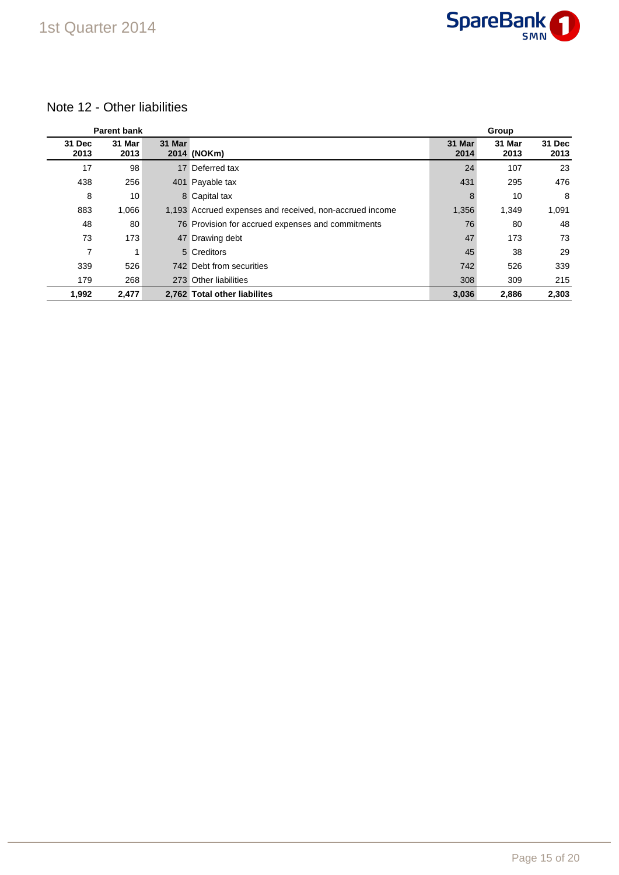

## 1st Quarter 2014

## Note 12 - Other liabilities

|                | <b>Parent bank</b> |        |                                                         |                | Group          |                |
|----------------|--------------------|--------|---------------------------------------------------------|----------------|----------------|----------------|
| 31 Dec<br>2013 | 31 Mar<br>2013     | 31 Mar | 2014 (NOKm)                                             | 31 Mar<br>2014 | 31 Mar<br>2013 | 31 Dec<br>2013 |
| 17             | 98                 |        | 17 Deferred tax                                         | 24             | 107            | 23             |
| 438            | 256                | 401    | Payable tax                                             | 431            | 295            | 476            |
| 8              | 10                 |        | 8 Capital tax                                           | 8              | 10             | 8              |
| 883            | 1,066              |        | 1,193 Accrued expenses and received, non-accrued income | 1,356          | 1,349          | 1,091          |
| 48             | 80                 |        | 76 Provision for accrued expenses and commitments       | 76             | 80             | 48             |
| 73             | 173                |        | 47 Drawing debt                                         | 47             | 173            | 73             |
| 7              |                    |        | 5 Creditors                                             | 45             | 38             | 29             |
| 339            | 526                |        | 742 Debt from securities                                | 742            | 526            | 339            |
| 179            | 268                |        | 273 Other liabilities                                   | 308            | 309            | 215            |
| 1,992          | 2,477              |        | 2,762 Total other liabilites                            | 3,036          | 2,886          | 2,303          |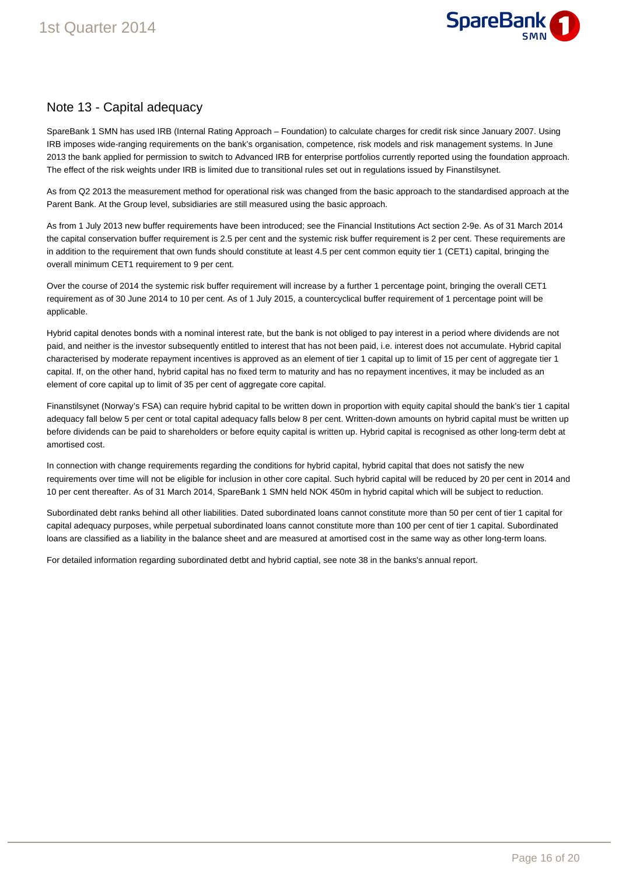

## Note 13 - Capital adequacy

SpareBank 1 SMN has used IRB (Internal Rating Approach – Foundation) to calculate charges for credit risk since January 2007. Using IRB imposes wide-ranging requirements on the bank's organisation, competence, risk models and risk management systems. In June 2013 the bank applied for permission to switch to Advanced IRB for enterprise portfolios currently reported using the foundation approach. The effect of the risk weights under IRB is limited due to transitional rules set out in regulations issued by Finanstilsynet.

As from Q2 2013 the measurement method for operational risk was changed from the basic approach to the standardised approach at the Parent Bank. At the Group level, subsidiaries are still measured using the basic approach.

As from 1 July 2013 new buffer requirements have been introduced; see the Financial Institutions Act section 2-9e. As of 31 March 2014 the capital conservation buffer requirement is 2.5 per cent and the systemic risk buffer requirement is 2 per cent. These requirements are in addition to the requirement that own funds should constitute at least 4.5 per cent common equity tier 1 (CET1) capital, bringing the overall minimum CET1 requirement to 9 per cent.

Over the course of 2014 the systemic risk buffer requirement will increase by a further 1 percentage point, bringing the overall CET1 requirement as of 30 June 2014 to 10 per cent. As of 1 July 2015, a countercyclical buffer requirement of 1 percentage point will be applicable.

Hybrid capital denotes bonds with a nominal interest rate, but the bank is not obliged to pay interest in a period where dividends are not paid, and neither is the investor subsequently entitled to interest that has not been paid, i.e. interest does not accumulate. Hybrid capital characterised by moderate repayment incentives is approved as an element of tier 1 capital up to limit of 15 per cent of aggregate tier 1 capital. If, on the other hand, hybrid capital has no fixed term to maturity and has no repayment incentives, it may be included as an element of core capital up to limit of 35 per cent of aggregate core capital.

Finanstilsynet (Norway's FSA) can require hybrid capital to be written down in proportion with equity capital should the bank's tier 1 capital adequacy fall below 5 per cent or total capital adequacy falls below 8 per cent. Written-down amounts on hybrid capital must be written up before dividends can be paid to shareholders or before equity capital is written up. Hybrid capital is recognised as other long-term debt at amortised cost.

In connection with change requirements regarding the conditions for hybrid capital, hybrid capital that does not satisfy the new requirements over time will not be eligible for inclusion in other core capital. Such hybrid capital will be reduced by 20 per cent in 2014 and 10 per cent thereafter. As of 31 March 2014, SpareBank 1 SMN held NOK 450m in hybrid capital which will be subject to reduction.

Subordinated debt ranks behind all other liabilities. Dated subordinated loans cannot constitute more than 50 per cent of tier 1 capital for capital adequacy purposes, while perpetual subordinated loans cannot constitute more than 100 per cent of tier 1 capital. Subordinated loans are classified as a liability in the balance sheet and are measured at amortised cost in the same way as other long-term loans.

For detailed information regarding subordinated detbt and hybrid captial, see note 38 in the banks's annual report.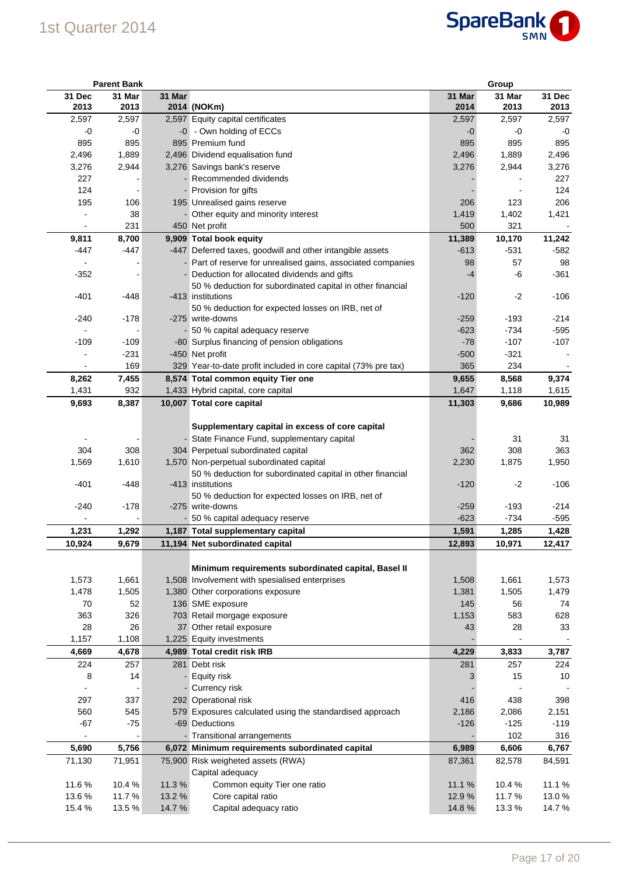

|                          | <b>Parent Bank</b> |        |                                                                |                | Group          |                |
|--------------------------|--------------------|--------|----------------------------------------------------------------|----------------|----------------|----------------|
| 31 Dec<br>2013           | 31 Mar<br>2013     | 31 Mar | 2014 (NOKm)                                                    | 31 Mar<br>2014 | 31 Mar<br>2013 | 31 Dec<br>2013 |
| 2,597                    | 2,597              |        | 2,597 Equity capital certificates                              | 2,597          | 2,597          | 2,597          |
| $-0$                     | -0                 |        | -0 - Own holding of ECCs                                       | $-0$           | -0             | -0             |
| 895                      | 895                |        | 895 Premium fund                                               | 895            | 895            | 895            |
| 2,496                    | 1,889              |        | 2,496 Dividend equalisation fund                               | 2,496          | 1,889          | 2,496          |
| 3,276                    | 2,944              |        | 3,276 Savings bank's reserve                                   | 3,276          | 2,944          | 3,276          |
| 227                      |                    |        | Recommended dividends                                          |                |                | 227            |
| 124                      |                    |        | - Provision for gifts                                          |                |                | 124            |
| 195                      | 106                |        | 195 Unrealised gains reserve                                   | 206            | 123            | 206            |
|                          | 38                 |        | - Other equity and minority interest                           | 1,419          | 1,402          | 1,421          |
|                          | 231                |        | 450 Net profit                                                 | 500            | 321            |                |
| 9,811                    | 8,700              |        | 9,909 Total book equity                                        | 11,389         | 10,170         | 11,242         |
| -447                     | -447               |        | -447 Deferred taxes, goodwill and other intangible assets      | $-613$         | $-531$         | $-582$         |
|                          |                    |        | - Part of reserve for unrealised gains, associated companies   | 98             | 57             | 98             |
| $-352$                   |                    |        | - Deduction for allocated dividends and gifts                  | $-4$           | -6             | $-361$         |
|                          |                    |        | 50 % deduction for subordinated capital in other financial     |                |                |                |
| $-401$                   | -448               |        | -413 institutions                                              | $-120$         | $-2$           | $-106$         |
|                          |                    |        | 50 % deduction for expected losses on IRB, net of              |                |                |                |
| $-240$                   | $-178$             |        | -275 write-downs                                               | $-259$         | $-193$         | $-214$         |
| $\overline{\phantom{a}}$ |                    |        | - 50 % capital adequacy reserve                                | $-623$         | $-734$         | $-595$         |
| $-109$                   | $-109$             |        | -80 Surplus financing of pension obligations                   | $-78$          | $-107$         | $-107$         |
|                          | $-231$             |        | -450 Net profit                                                | $-500$         | $-321$         |                |
|                          | 169                |        | 329 Year-to-date profit included in core capital (73% pre tax) | 365            | 234            |                |
| 8,262                    | 7,455              |        | 8,574 Total common equity Tier one                             | 9,655          | 8,568          | 9,374          |
| 1,431                    | 932                |        | 1,433 Hybrid capital, core capital                             | 1,647          | 1,118          | 1,615          |
| 9,693                    | 8,387              |        | 10,007 Total core capital                                      | 11,303         | 9,686          | 10,989         |
|                          |                    |        | Supplementary capital in excess of core capital                |                |                |                |
|                          |                    |        | - State Finance Fund, supplementary capital                    |                | 31             | 31             |
| 304                      | 308                |        | 304 Perpetual subordinated capital                             | 362            | 308            | 363            |
| 1,569                    | 1,610              |        | 1,570 Non-perpetual subordinated capital                       | 2,230          | 1,875          | 1,950          |
|                          |                    |        | 50 % deduction for subordinated capital in other financial     |                |                |                |
| $-401$                   | -448               |        | -413 institutions                                              | $-120$         | -2             | $-106$         |
|                          |                    |        | 50 % deduction for expected losses on IRB, net of              |                |                |                |
| $-240$                   | $-178$             |        | -275 write-downs                                               | $-259$         | $-193$         | $-214$         |
|                          |                    |        | - 50 % capital adequacy reserve                                | $-623$         | $-734$         | $-595$         |
| 1,231                    | 1,292              |        | 1,187 Total supplementary capital                              | 1,591          | 1,285          | 1,428          |
| 10,924                   | 9,679              |        | 11,194 Net subordinated capital                                | 12,893         | 10,971         | 12,417         |
|                          |                    |        |                                                                |                |                |                |
|                          |                    |        | Minimum requirements subordinated capital, Basel II            |                |                |                |
| 1,573                    | 1,661              |        | 1,508 Involvement with spesialised enterprises                 | 1,508          | 1,661          | 1,573          |
| 1,478                    | 1,505              |        | 1,380 Other corporations exposure                              | 1,381          | 1,505          | 1,479          |
| 70                       | 52                 |        | 136 SME exposure                                               | 145            | 56             | 74             |
| 363                      | 326                |        | 703 Retail morgage exposure                                    | 1,153          | 583            | 628            |
| 28                       | 26                 |        | 37 Other retail exposure                                       | 43             | 28             | 33             |
| 1,157                    | 1,108              |        | 1,225 Equity investments                                       |                |                |                |
| 4,669                    | 4,678              |        | 4,989 Total credit risk IRB                                    | 4,229          | 3,833          | 3,787          |
| 224                      | 257                |        | 281 Debt risk                                                  | 281            | 257            | 224            |
| 8                        | 14                 |        | - Equity risk                                                  | 3              | 15             | $10$           |
|                          |                    |        | - Currency risk                                                |                |                |                |
| 297                      | 337                |        | 292 Operational risk                                           | 416            | 438            | 398            |
| 560                      | 545                |        | 579 Exposures calculated using the standardised approach       | 2,186          | 2,086          | 2,151          |
| $-67$                    | $-75$              |        | -69 Deductions                                                 | $-126$         | $-125$         | $-119$         |
| $\blacksquare$           |                    |        | - Transitional arrangements                                    |                | 102            | 316            |
| 5,690                    | 5,756              |        | 6,072 Minimum requirements subordinated capital                | 6,989          | 6,606          | 6,767          |
| 71,130                   | 71,951             |        | 75,900 Risk weigheted assets (RWA)                             | 87,361         | 82,578         | 84,591         |
|                          |                    |        | Capital adequacy                                               |                |                |                |
| 11.6%                    | 10.4 %             | 11.3%  | Common equity Tier one ratio                                   | 11.1 %         | 10.4%          | 11.1%          |
| 13.6%                    | 11.7%              | 13.2 % | Core capital ratio                                             | 12.9%          | 11.7%          | 13.0%          |
| 15.4 %                   | 13.5 %             | 14.7%  | Capital adequacy ratio                                         | 14.8%          | 13.3%          | 14.7%          |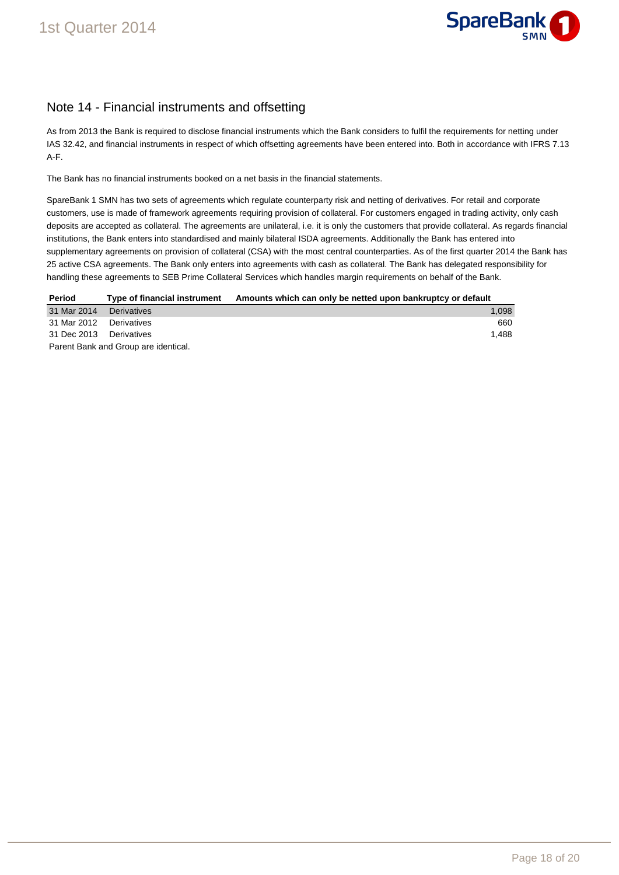

## Note 14 - Financial instruments and offsetting

As from 2013 the Bank is required to disclose financial instruments which the Bank considers to fulfil the requirements for netting under IAS 32.42, and financial instruments in respect of which offsetting agreements have been entered into. Both in accordance with IFRS 7.13 A-F.

The Bank has no financial instruments booked on a net basis in the financial statements.

SpareBank 1 SMN has two sets of agreements which regulate counterparty risk and netting of derivatives. For retail and corporate customers, use is made of framework agreements requiring provision of collateral. For customers engaged in trading activity, only cash deposits are accepted as collateral. The agreements are unilateral, i.e. it is only the customers that provide collateral. As regards financial institutions, the Bank enters into standardised and mainly bilateral ISDA agreements. Additionally the Bank has entered into supplementary agreements on provision of collateral (CSA) with the most central counterparties. As of the first quarter 2014 the Bank has 25 active CSA agreements. The Bank only enters into agreements with cash as collateral. The Bank has delegated responsibility for handling these agreements to SEB Prime Collateral Services which handles margin requirements on behalf of the Bank.

| Period                               | Type of financial instrument | Amounts which can only be netted upon bankruptcy or default |  |  |  |
|--------------------------------------|------------------------------|-------------------------------------------------------------|--|--|--|
| 31 Mar 2014                          | Derivatives                  | 1.098                                                       |  |  |  |
| 31 Mar 2012 Derivatives              |                              | 660                                                         |  |  |  |
| 31 Dec 2013                          | Derivatives                  | 1.488                                                       |  |  |  |
| Parent Bank and Group are identical. |                              |                                                             |  |  |  |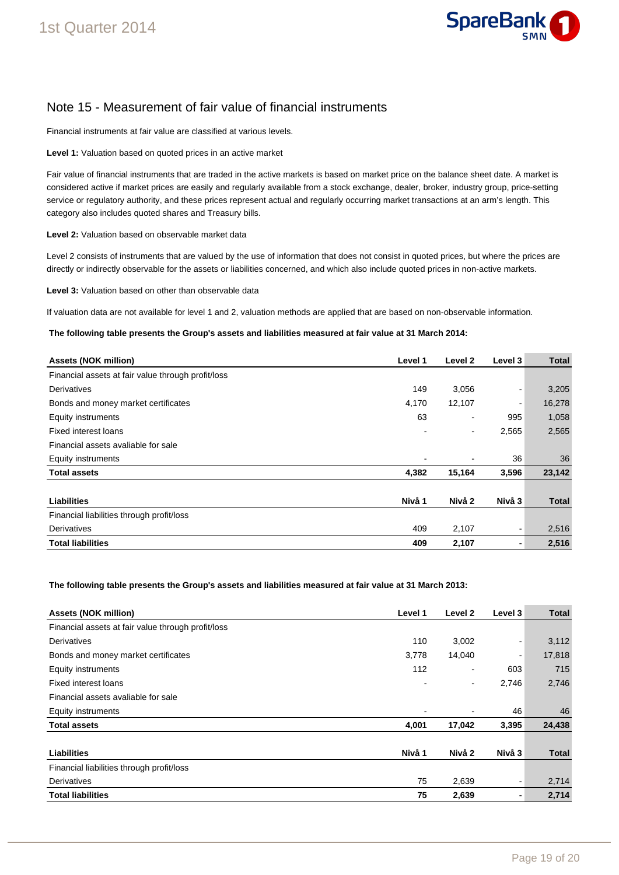

## Note 15 - Measurement of fair value of financial instruments

Financial instruments at fair value are classified at various levels.

**Level 1:** Valuation based on quoted prices in an active market

Fair value of financial instruments that are traded in the active markets is based on market price on the balance sheet date. A market is considered active if market prices are easily and regularly available from a stock exchange, dealer, broker, industry group, price-setting service or regulatory authority, and these prices represent actual and regularly occurring market transactions at an arm's length. This category also includes quoted shares and Treasury bills.

**Level 2:** Valuation based on observable market data

Level 2 consists of instruments that are valued by the use of information that does not consist in quoted prices, but where the prices are directly or indirectly observable for the assets or liabilities concerned, and which also include quoted prices in non-active markets.

**Level 3:** Valuation based on other than observable data

If valuation data are not available for level 1 and 2, valuation methods are applied that are based on non-observable information.

**The following table presents the Group's assets and liabilities measured at fair value at 31 March 2014:** 

| <b>Assets (NOK million)</b>                        | Level 1 | Level 2                  | Level 3 | Total        |
|----------------------------------------------------|---------|--------------------------|---------|--------------|
| Financial assets at fair value through profit/loss |         |                          |         |              |
| Derivatives                                        | 149     | 3,056                    |         | 3,205        |
| Bonds and money market certificates                | 4,170   | 12,107                   |         | 16,278       |
| <b>Equity instruments</b>                          | 63      | $\overline{\phantom{a}}$ | 995     | 1,058        |
| Fixed interest loans                               |         | $\blacksquare$           | 2,565   | 2,565        |
| Financial assets avaliable for sale                |         |                          |         |              |
| <b>Equity instruments</b>                          |         | $\overline{\phantom{a}}$ | 36      | 36           |
| <b>Total assets</b>                                | 4,382   | 15,164                   | 3,596   | 23,142       |
|                                                    |         |                          |         |              |
| <b>Liabilities</b>                                 | Nivå 1  | Nivå 2                   | Nivå 3  | <b>Total</b> |
| Financial liabilities through profit/loss          |         |                          |         |              |
| Derivatives                                        | 409     | 2,107                    |         | 2,516        |
| <b>Total liabilities</b>                           | 409     | 2,107                    |         | 2,516        |

**The following table presents the Group's assets and liabilities measured at fair value at 31 March 2013:** 

| <b>Assets (NOK million)</b>                        | Level 1 | Level 2 | Level 3 | <b>Total</b> |
|----------------------------------------------------|---------|---------|---------|--------------|
| Financial assets at fair value through profit/loss |         |         |         |              |
| Derivatives                                        | 110     | 3,002   |         | 3,112        |
| Bonds and money market certificates                | 3,778   | 14,040  |         | 17,818       |
| Equity instruments                                 | 112     | ۰       | 603     | 715          |
| <b>Fixed interest loans</b>                        |         | -       | 2,746   | 2,746        |
| Financial assets avaliable for sale                |         |         |         |              |
| Equity instruments                                 |         | -       | 46      | 46           |
| <b>Total assets</b>                                | 4,001   | 17,042  | 3,395   | 24,438       |
|                                                    |         |         |         |              |
| Liabilities                                        | Nivå 1  | Nivå 2  | Nivå 3  | <b>Total</b> |
| Financial liabilities through profit/loss          |         |         |         |              |
| Derivatives                                        | 75      | 2,639   |         | 2,714        |
| <b>Total liabilities</b>                           | 75      | 2,639   |         | 2,714        |